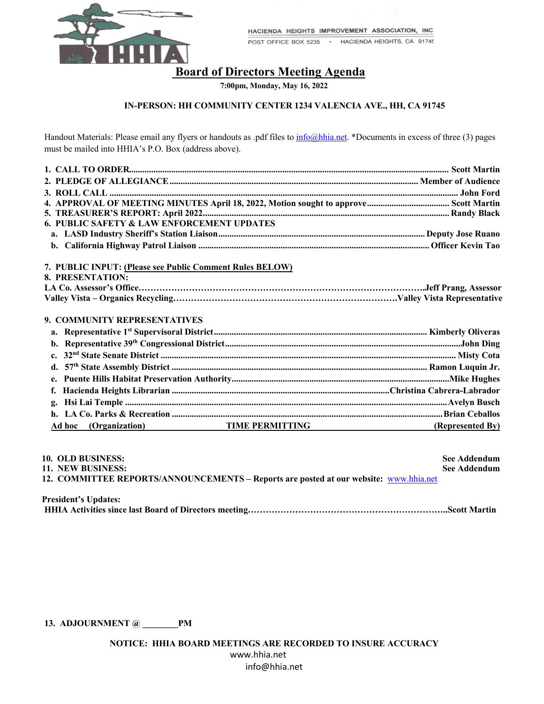

POST OFFICE BOX 5235 · HACIENDA HEIGHTS, CA 91745

# **Board of Directors Meeting Agenda**

 **7:00pm, Monday, May 16, 2022**

## **IN-PERSON: HH COMMUNITY CENTER 1234 VALENCIA AVE., HH, CA 91745**

Handout Materials: Please email any flyers or handouts as .pdf files to  $info@hhia.net$ . \*Documents in excess of three (3) pages must be mailed into HHIA's P.O. Box (address above).

| 6. PUBLIC SAFETY & LAW ENFORCEMENT UPDATES               |                  |
|----------------------------------------------------------|------------------|
|                                                          |                  |
|                                                          |                  |
|                                                          |                  |
| 7. PUBLIC INPUT: (Please see Public Comment Rules BELOW) |                  |
| 8. PRESENTATION:                                         |                  |
|                                                          |                  |
|                                                          |                  |
| 9. COMMUNITY REPRESENTATIVES                             |                  |
|                                                          |                  |
| $\mathbf{b}$ .                                           |                  |
| $c_{\star}$                                              |                  |
| d.                                                       |                  |
| $e_{\bullet}$                                            |                  |
| f.                                                       |                  |
| $\mathbf{g}_{\bullet}$                                   |                  |
|                                                          |                  |
| <b>TIME PERMITTING</b><br>Ad hoc (Organization)          | (Represented By) |

| 10. OLD BUSINESS:                                                                     | See Addendum |
|---------------------------------------------------------------------------------------|--------------|
| 11. NEW BUSINESS:                                                                     | See Addendum |
| 12. COMMITTEE REPORTS/ANNOUNCEMENTS – Reports are posted at our website: www.hhia.net |              |
| <b>President's Undates:</b>                                                           |              |

| Tresiaent s chaucs. |  |
|---------------------|--|
|                     |  |

**13. ADJOURNMENT @ \_\_\_\_\_\_\_\_PM**